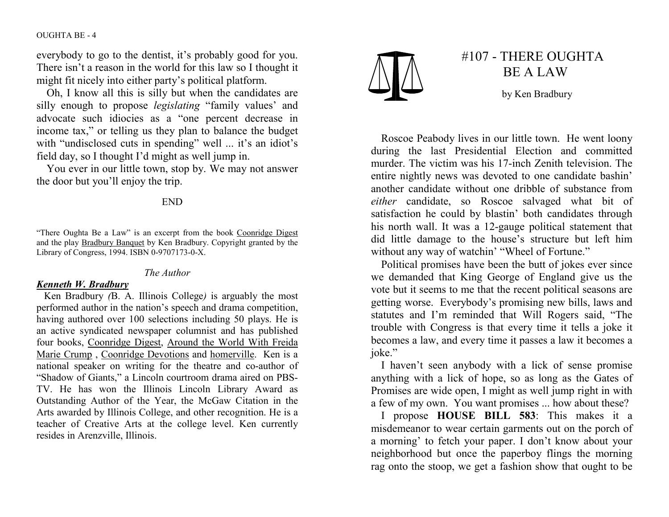#### OUGHTA BE - 4

everybody to go to the dentist, it's probably good for you. There isn't a reason in the world for this law so I thought it might fit nicely into either party's political platform.

 Oh, I know all this is silly but when the candidates are silly enough to propose legislating "family values' and advocate such idiocies as a "one percent decrease in income tax," or telling us they plan to balance the budget with "undisclosed cuts in spending" well ... it's an idiot's field day, so I thought I'd might as well jump in.

 You ever in our little town, stop by. We may not answer the door but you'll enjoy the trip.

## END

"There Oughta Be a Law" is an excerpt from the book Coonridge Digest and the play **Bradbury Banquet** by Ken Bradbury. Copyright granted by the Library of Congress, 1994. ISBN 0-9707173-0-X.

#### The Author

### Kenneth W. Bradbury

 Ken Bradbury (B. A. Illinois College) is arguably the most performed author in the nation's speech and drama competition, having authored over 100 selections including 50 plays. He is an active syndicated newspaper columnist and has published four books, Coonridge Digest, Around the World With Freida Marie Crump, Coonridge Devotions and homerville. Ken is a national speaker on writing for the theatre and co-author of "Shadow of Giants," a Lincoln courtroom drama aired on PBS-TV. He has won the Illinois Lincoln Library Award as Outstanding Author of the Year, the McGaw Citation in the Arts awarded by Illinois College, and other recognition. He is a teacher of Creative Arts at the college level. Ken currently resides in Arenzville, Illinois.



# #107 - THERE OUGHTA BE A LAW

by Ken Bradbury

Roscoe Peabody lives in our little town. He went loony during the last Presidential Election and committed murder. The victim was his 17-inch Zenith television. The entire nightly news was devoted to one candidate bashin' another candidate without one dribble of substance from either candidate, so Roscoe salvaged what bit of satisfaction he could by blastin' both candidates through his north wall. It was a 12-gauge political statement that did little damage to the house's structure but left him without any way of watchin' "Wheel of Fortune."

Political promises have been the butt of jokes ever since we demanded that King George of England give us the vote but it seems to me that the recent political seasons are getting worse. Everybody's promising new bills, laws and statutes and I'm reminded that Will Rogers said, "The trouble with Congress is that every time it tells a joke it becomes a law, and every time it passes a law it becomes a joke."

 I haven't seen anybody with a lick of sense promise anything with a lick of hope, so as long as the Gates of Promises are wide open, I might as well jump right in with a few of my own. You want promises ... how about these?

I propose HOUSE BILL 583: This makes it a misdemeanor to wear certain garments out on the porch of a morning' to fetch your paper. I don't know about your neighborhood but once the paperboy flings the morning rag onto the stoop, we get a fashion show that ought to be